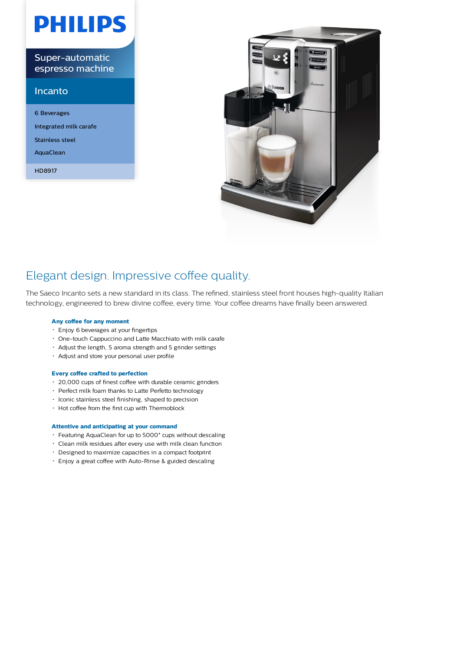# **PHILIPS**

Super-automatic espresso machine

#### Incanto

6 Beverages Integrated milk carafe Stainless steel AquaClean HD8917



### Elegant design. Impressive coffee quality.

The Saeco Incanto sets a new standard in its class. The refined, stainless steel front houses high-quality Italian technology, engineered to brew divine coffee, every time. Your coffee dreams have finally been answered.

#### **Any coffee for any moment**

- Enjoy 6 beverages at your fingertips
- One-touch Cappuccino and Latte Macchiato with milk carafe
- Adjust the length, 5 aroma strength and 5 grinder settings
- Adjust and store your personal user profile

#### **Every coffee crafted to perfection**

- 20,000 cups of finest coffee with durable ceramic grinders
- Perfect milk foam thanks to Latte Perfetto technology
- $\cdot$  Iconic stainless steel finishing, shaped to precision
- Hot coffee from the first cup with Thermoblock

#### **Attentive and anticipating at your command**

- Featuring AquaClean for up to 5000\* cups without descaling
- Clean milk residues after every use with milk clean function
- Designed to maximize capacities in a compact footprint
- Enjoy a great coffee with Auto-Rinse & guided descaling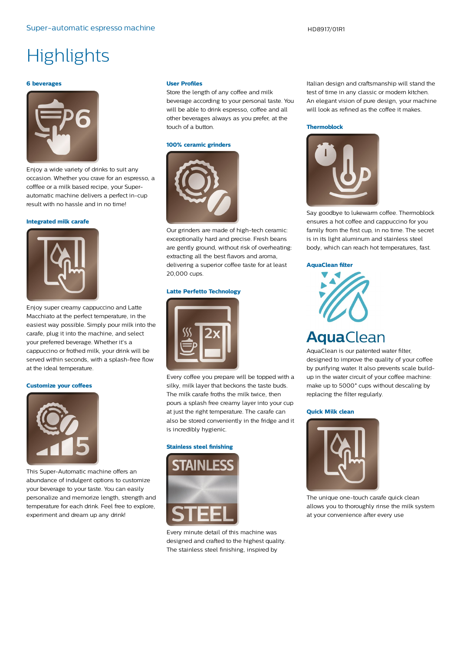## **Highlights**

#### **6 beverages**



Enjoy a wide variety of drinks to suit any occasion. Whether you crave for an espresso, a cofffee or a milk based recipe, your Superautomatic machine delivers a perfect in-cup result with no hassle and in no time!

#### **Integrated milk carafe**



Enjoy super creamy cappuccino and Latte Macchiato at the perfect temperature, in the easiest way possible. Simply pour milk into the carafe, plug it into the machine, and select your preferred beverage. Whether it's a cappuccino or frothed milk, your drink will be served within seconds, with a splash-free flow at the ideal temperature.

#### **Customize your coffees**



This Super-Automatic machine offers an abundance of indulgent options to customize your beverage to your taste. You can easily personalize and memorize length, strength and temperature for each drink. Feel free to explore, experiment and dream up any drink!

#### **User Profiles**

Store the length of any coffee and milk beverage according to your personal taste. You will be able to drink espresso, coffee and all other beverages always as you prefer, at the touch of a button.

#### **100% ceramic grinders**



Our grinders are made of high-tech ceramic: exceptionally hard and precise. Fresh beans are gently ground, without risk of overheating: extracting all the best flavors and aroma, delivering a superior coffee taste for at least 20,000 cups.

#### **Latte Perfetto Technology**



Every coffee you prepare will be topped with a silky, milk layer that beckons the taste buds. The milk carafe froths the milk twice, then pours a splash free creamy layer into your cup at just the right temperature. The carafe can also be stored conveniently in the fridge and it is incredibly hygienic.

#### **Stainless steel finishing**



Every minute detail of this machine was designed and crafted to the highest quality. The stainless steel finishing, inspired by

Italian design and craftsmanship will stand the test of time in any classic or modern kitchen. An elegant vision of pure design, your machine will look as refined as the coffee it makes.

#### **Thermoblock**



Say goodbye to lukewarm coffee. Thermoblock ensures a hot coffee and cappuccino for you family from the first cup, in no time. The secret is in its light aluminum and stainless steel body, which can reach hot temperatures, fast.

#### **AquaClean filter**



AquaClean is our patented water filter, designed to improve the quality of your coffee by purifying water. It also prevents scale buildup in the water circuit of your coffee machine: make up to 5000\* cups without descaling by replacing the filter regularly.

#### **Quick Milk clean**



The unique one-touch carafe quick clean allows you to thoroughly rinse the milk system at your convenience after every use